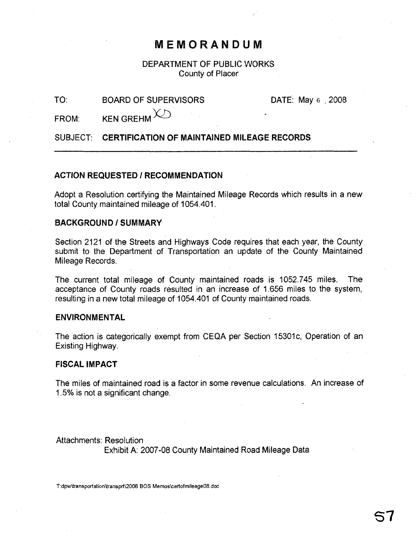## MEMORANDUM

DEPARTMENT OF PUBLIC WORKS County of Placer

#### TO: BOARD OF SUPERVISORS

DATE: May 6 ; 2008

FROM:  $KEN$  GREHM $X$ 

SUBJECT: CERTIFICATION OF MAINTAINED MILEAGE RECORDS

### ACTION REQUESTED / RECOMMENDATION

Adopt a Resolution certifying the Maintained Mileage Records which results in a new total County maintained mileage of 1054.401.

#### BACKGROUND/SUMMARY

Section 2121 of the Streets and Highways Code requires that each year, the County submit to the Department of Transportation an update of the County Maintained Mileage Records.

The current total mileage of County maintained roads is 1052.745 miles. The acceptance of County roads resulted in an increase of 1.656 miles to the system, resulting in a new total mileage of 1054.401 of County maintained roads.

#### ENVIRONMENTAL

The action is categorically exempt from CEQA per Section 15301c, Operation of an Existing Highway.

#### FISCAL IMPACT

The miles of maintained road is a factor in some revenue calculations. An increase of 1.5% is not a significant change. .

Attachments: Resolution Exhibit A: 2007-08 County Maintained Road Mileage Data

T:dpwltransportationltransprt\20D8 BOS Memos\certofmileage08.doc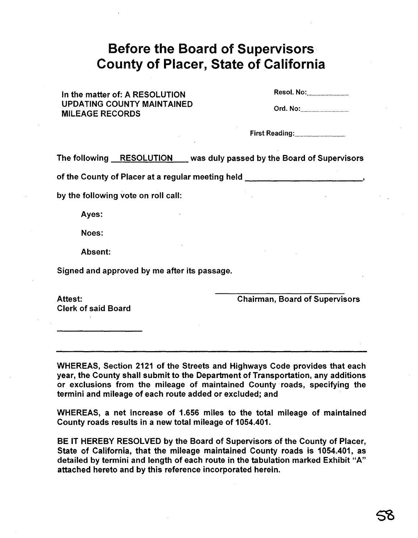# **Before the Board of Supervisors County of Placer, State of California**

In the matter of: A RESOLUTION UPDATING COUNTY MAINTAINED MILEAGE RECORDS

Resol. No: ..

Ord. No: ..

First Reading: .

The following RESOLUTION was duly passed by the Board of Supervisors

of the County of Placer at a regular meeting held \_

by the following vote on roll call:

Ayes:

Noes:

Absent:

Signed and approved by me after its passage.

Attest: Clerk of said Board Chairman, Board of Supervisors

WHEREAS, Section 2121 of the Streets and Highways Code provides that each year, the County shall submit to the Department of Transportation, any additions or exclusions from the mileage of maintained County roads, specifying the termini and mileage of each route added or excluded; and

WHEREAS, a net increase of 1.656 miles to the total mileage of maintained County roads results in a new total mileage of 1054.401.

BE IT HEREBY RESOLVED by the Board of Supervisors of the County of Placer, State of California, that the mileage maintained County roads is 1054.401, as detailed by termini and length of each route in the tabulation marked Exhibit "A" attached hereto and by this reference incorporated herein.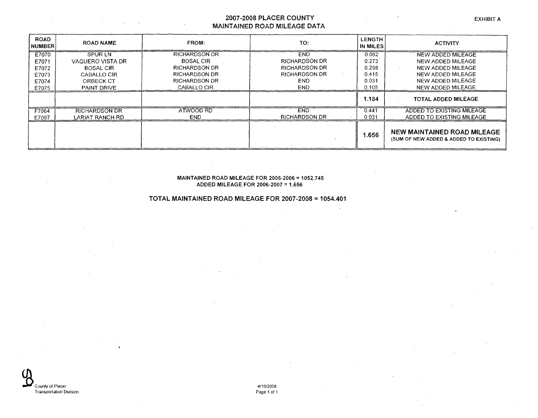#### 2007-2008 PLACER COUNTY **MAINTAINED ROAD MILEAGE DATA**

| <b>ROAD</b><br> NUMBER | <b>ROAD NAME</b>     | FROM:                | TO:                  | <b>LENGTH</b><br>IN MILES | <b>ACTIVITY</b>                                                       |
|------------------------|----------------------|----------------------|----------------------|---------------------------|-----------------------------------------------------------------------|
| E7070                  | <b>SPURLN</b>        | RICHARDSON.DR        | <b>END</b>           | 0.062                     | NEW ADDED MILEAGE                                                     |
| E7071                  | VAQUERO VISTA DR     | <b>BOSAL CIR</b>     | <b>RICHARDSON DR</b> | 0.273                     | NEW ADDED MILEAGE                                                     |
| E7072                  | <b>BOSAL CIR</b>     | <b>RICHARDSON DR</b> | <b>RICHARDSON DR</b> | 0.298                     | NEW ADDED MILEAGE                                                     |
| E7073                  | CABALLO CIR          | <b>RICHARDSON DR</b> | <b>RICHARDSON DR</b> | 0.415                     | NEW ADDED MILEAGE                                                     |
| E7074                  | ORBECK CT            | <b>RICHARDSON DR</b> | <b>END</b>           | 0.031                     | NEW ADDED MILEAGE                                                     |
| E7075                  | PAINT DRIVE          | CABALLO CIR          | <b>END</b>           | 0.105                     | NEW ADDED MILEAGE                                                     |
|                        |                      |                      |                      | 1.184                     | <b>TOTAL ADDED MILEAGE</b>                                            |
| F7064                  | <b>RICHARDSON DR</b> | ATWOOD RD            | <b>END</b>           | 0.441                     | ADDED TO EXISTING MILEAGE                                             |
| E7097                  | LARIAT RANCH RD      | END.                 | <b>RICHARDSON DR</b> | 0.031                     | ADDED TO EXISTING MILEAGE                                             |
|                        |                      |                      |                      | 1.656                     | NEW MAINTAINED ROAD MILEAGE<br>(SUM OF NEW ADDED & ADDED TO EXISTING) |

MAINTAINED ROAD MILEAGE FOR 2005·2006 =1052.745 ADDED MILEAGE FOR 2006·2007 = 1.656

TOTAL MAINTAINED ROAD MILEAGE FOR 2007-2008 =1054.401



411012008 Page 1 of 1 EXHIBIT A